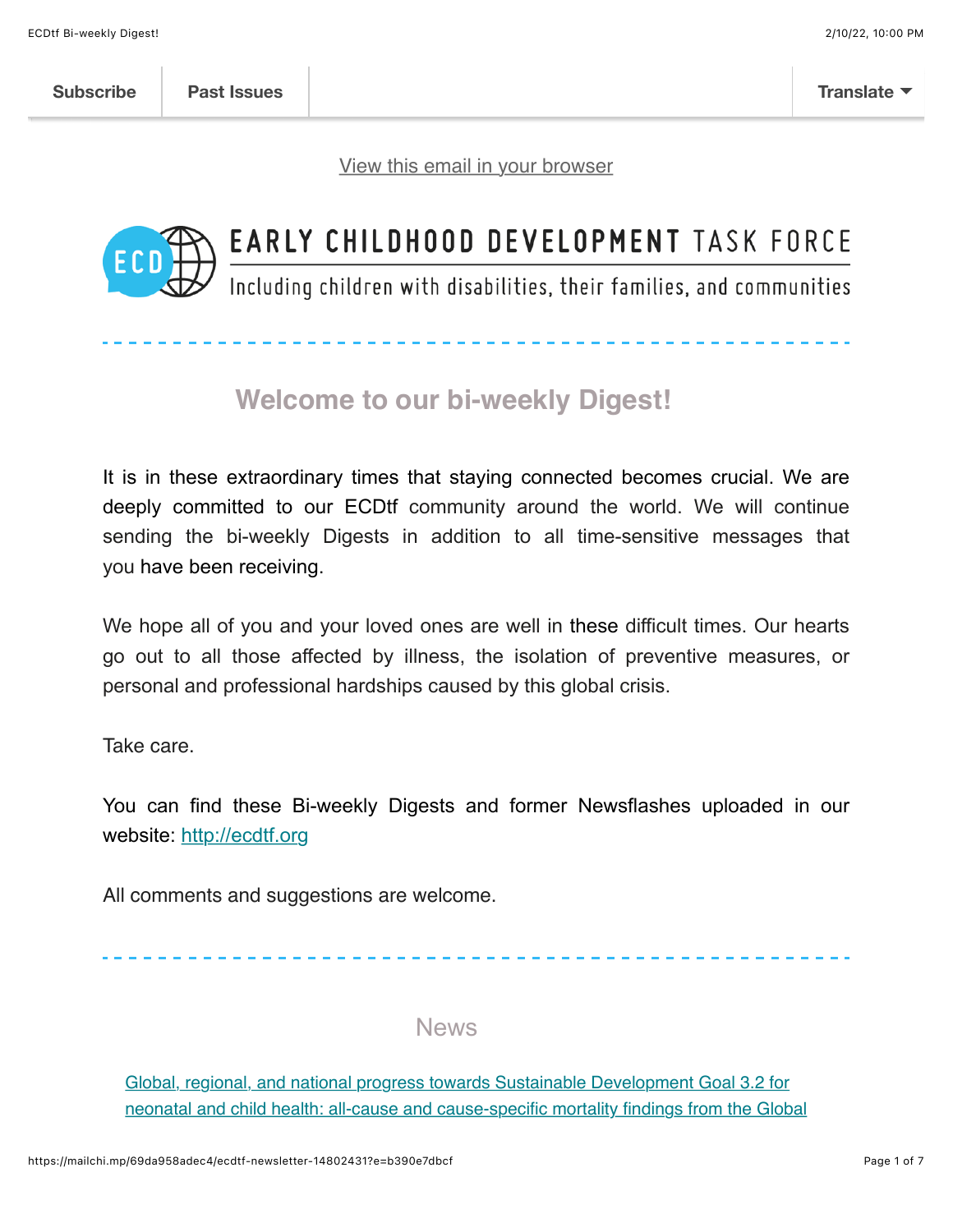[View this email in your browser](https://mailchi.mp/69da958adec4/ecdtf-newsletter-14802431?e=b390e7dbcf)



# EARLY CHILDHOOD DEVELOPMENT TASK FORCE

Including children with disabilities, their families, and communities

# **Welcome to our bi-weekly Digest!**

It is in these extraordinary times that staying connected becomes crucial. We are deeply committed to our ECDtf community around the world. We will continue sending the bi-weekly Digests in addition to all time-sensitive messages that you have been receiving.

We hope all of you and your loved ones are well in these difficult times. Our hearts go out to all those affected by illness, the isolation of preventive measures, or personal and professional hardships caused by this global crisis.

Take care.

You can find these Bi-weekly Digests and former Newsflashes uploaded in our website: [http://ecdtf.org](http://ecdtf.org/)

All comments and suggestions are welcome.

News

Global, regional, and national progress towards Sustainable Development Goal 3.2 for [neonatal and child health: all-cause and cause-specific mortality findings from the Global](https://www.thelancet.com/journals/lancet/article/PIIS0140-6736(21)01207-1/fulltext?dgcid=raven_jbs_etoc_email)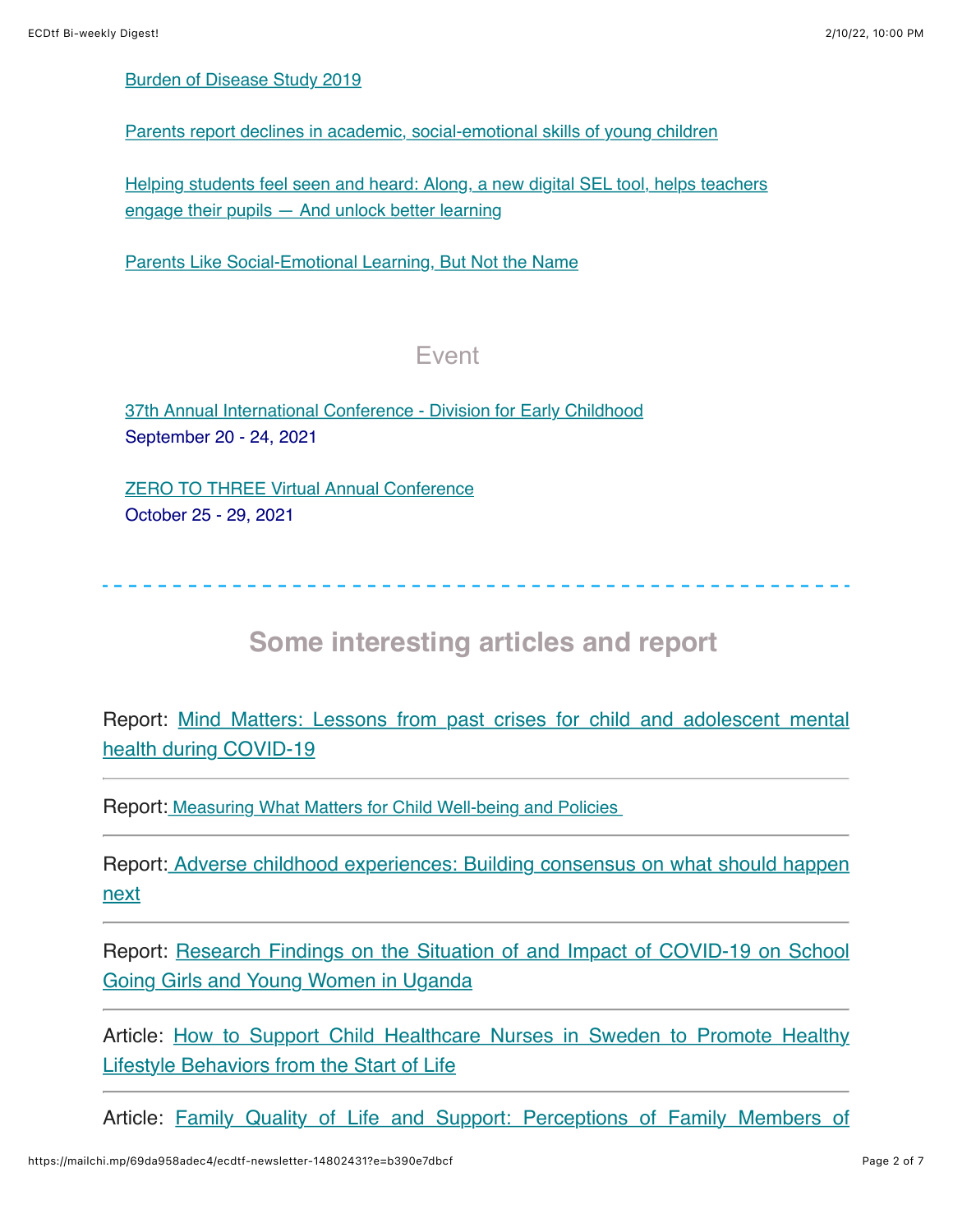#### [Burden of Disease Study 2019](https://www.thelancet.com/journals/lancet/article/PIIS0140-6736(21)01207-1/fulltext?dgcid=raven_jbs_etoc_email)

[Parents report declines in academic, social-emotional skills of young children](https://hechingerreport.org/early-childhood-parents-report-declines-in-academic-social-emotional-skills/)

[Helping students feel seen and heard: Along, a new digital SEL tool, helps teachers](https://www.the74million.org/article/helping-students-feel-seen-and-heard-along-a-new-digital-sel-tool-helps-teachers-engage-their-pupils-and-unlock-better-learning/) engage their pupils — And unlock better learning

[Parents Like Social-Emotional Learning, But Not the Name](http://https//www.edweek.org/leadership/parents-like-social-emotional-learning-but-not-the-name/2021/08)

#### Event

[37th Annual International Conference - Division for Early Childhood](https://web.cvent.com/event/70881beb-96d9-4e97-8a6b-e90425fdf3a3/websitePage:65ee2dc4-7024-4db7-a87c-c2157a184ec9) September 20 - 24, 2021

[ZERO TO THREE Virtual Annual Conference](https://myzerotothree.force.com/s/community-event?id=a3p2S0000007GChQAM&utm_campaign=Q4_2021_PAMS%20Annual%20Conference%202021&utm_medium=email&utm_source=email_link&utm_content=ac21_e12_rr_speaker) October 25 - 29, 2021

### **Some interesting articles and report**

[Report: Mind Matters: Lessons from past crises for child and adolescent mental](https://www.unicef-irc.org/publications/1215-mind-matters-lessons-from-past-crises-for-child-and-adolescent-mental-health-during-covid-19.html) health during COVID-19

Report: [Measuring What Matters for Child Well-being and Policies](https://www.oecd-ilibrary.org/social-issues-migration-health/measuring-what-matters-for-child-well-being-and-policies_e82fded1-en) 

[Report: Adverse childhood experiences: Building consensus on what should happen](https://www.eif.org.uk/report/aces-building-consensus-on-what-should-happen-next) next

[Report: Research Findings on the Situation of and Impact of COVID-19 on School](https://inee.org/system/files/resources/COVID%2019%20Impact%20Study%20on%20Girls%20and%20Women_April%202021.pdf) Going Girls and Young Women in Uganda

[Article: How to Support Child Healthcare Nurses in Sweden to Promote Healthy](https://www.mdpi.com/2227-9067/8/8/696?utm_campaign=releaseissue_childrenutm_medium=emailutm_source=releaseissueutm_term=doilink2) Lifestyle Behaviors from the Start of Life

[Article: Family Quality of Life and Support: Perceptions of Family Members of](https://documentcloud.adobe.com/link/track?uri=urn:aaid:scds:US:d5d2579f-5a90-4393-b889-dd4a97a82b8e#pageNum=1)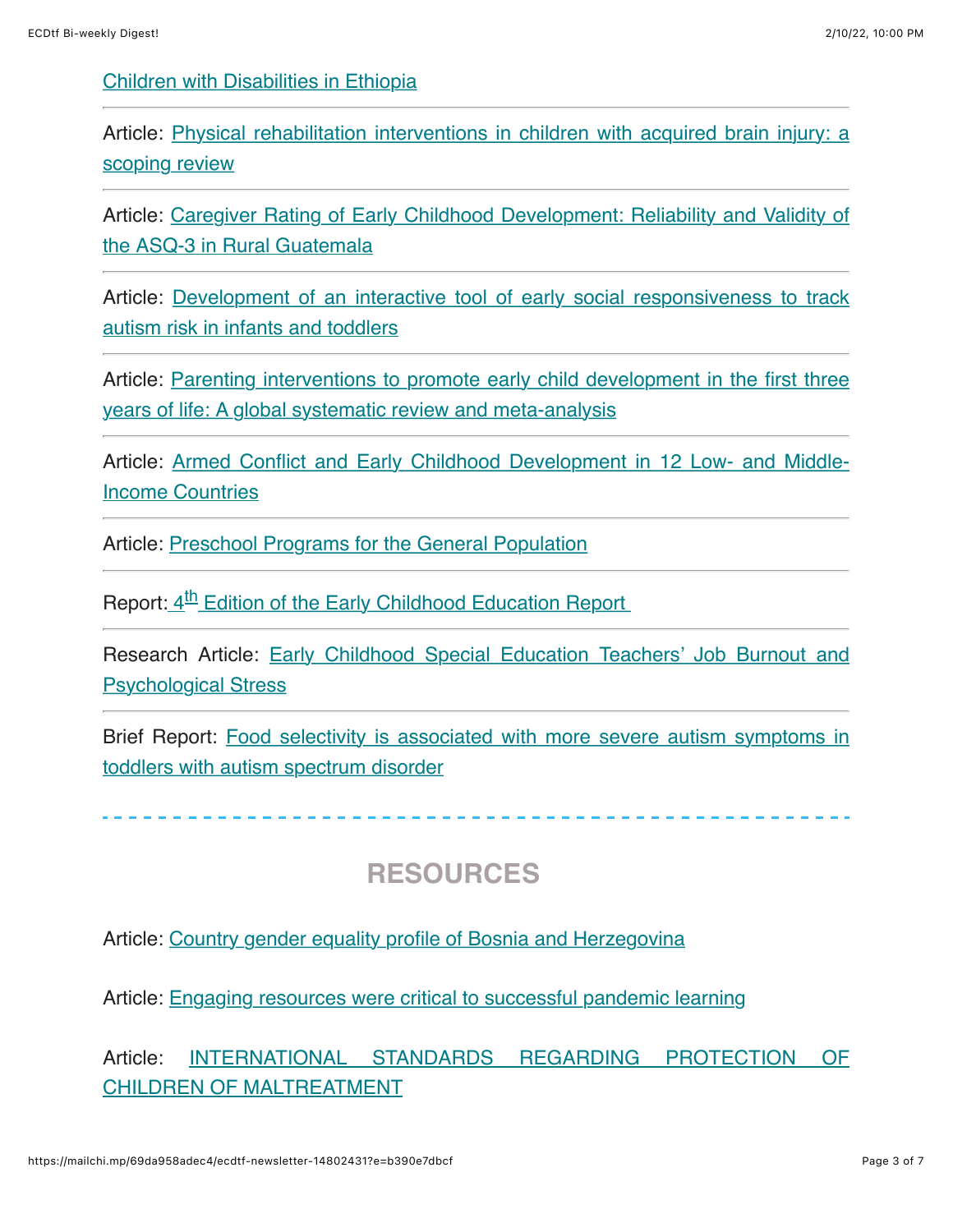[Children with Disabilities in Ethiopia](https://documentcloud.adobe.com/link/track?uri=urn:aaid:scds:US:d5d2579f-5a90-4393-b889-dd4a97a82b8e#pageNum=1)

[Article: Physical rehabilitation interventions in children with acquired brain injury: a](https://onlinelibrary.wiley.com/doi/10.1111/dmcn.14997) scoping review

[Article: Caregiver Rating of Early Childhood Development: Reliability and Validity of](https://www.sciencedirect.com/science/article/abs/pii/S0378378221001523) the ASQ-3 in Rural Guatemala

[Article: Development of an interactive tool of early social responsiveness to track](https://onlinelibrary.wiley.com/doi/abs/10.1111/dmcn.15035) autism risk in infants and toddlers

[Article: Parenting interventions to promote early child development in the first three](https://journals.plos.org/plosmedicine/article?id=10.1371/journal.pmed.1003602) years of life: A global systematic review and meta-analysis

[Article: Armed Conflict and Early Childhood Development in 12 Low- and Middle-](https://pediatrics.aappublications.org/content/148/3/e2021050332)Income Countries

Article: [Preschool Programs for the General Population](http://https//www.child-encyclopedia.com/preschool-programs/according-experts/preschool-programs-general-population?utm_source=All&utm_campaign=September_2021_ANG&utm_medium=email)

Report: 4<sup>th</sup> Edition of the Early Childhood Education Report

[Research Article: Early Childhood Special Education Teachers' Job Burnout and](https://www.tandfonline.com/doi/abs/10.1080/10409289.2021.1965395?journalCode=heed20) Psychological Stress

[Brief Report: Food selectivity is associated with more severe autism symptoms in](https://onlinelibrary.wiley.com/doi/abs/10.1111/apa.16065) toddlers with autism spectrum disorder

### **RESOURCES**

Article: [Country gender equality profile of Bosnia and Herzegovina](https://childhub.org/en/child-protection-online-library/country-gender-equality-profile-bosnia-and-herzegovina)

Article: [Engaging resources were critical to successful pandemic learning](https://www.eschoolnews.com/2021/08/11/engaging-resources-were-critical-to-successful-pandemic-learning/)

[Article: INTERNATIONAL STANDARDS REGARDING PROTECTION OF](https://mcusercontent.com/fdbb07179dc5a2d4ccfab37d9/files/04a023d9-249e-1f7b-41d2-cc11592c5d5e/INTERNATIONAL_STANDARDS_REGARDING_PROTECTION_OF_CHILDREN_OF_MALTREATMENT.pdf) CHILDREN OF MALTREATMENT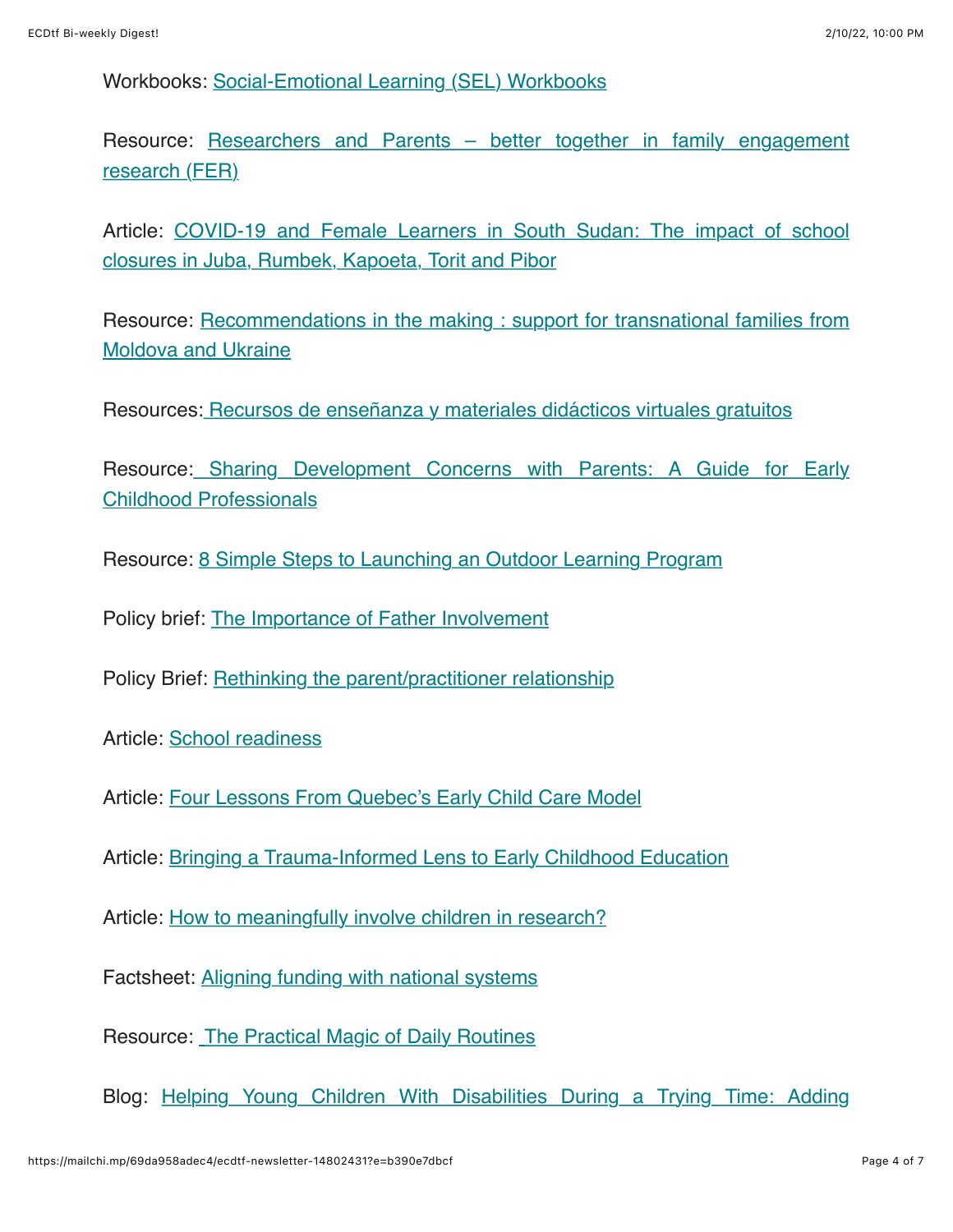Workbooks: [Social-Emotional Learning \(SEL\) Workbooks](https://resources.educationaboveall.org/learning-packages/level-1-ages-6-7)

[Resource: Researchers and Parents – better together in family engagement](https://kidsbrainhealth.ca/index.php/2021/08/04/researchers-and-parents-better-together/) research (FER)

[Article: COVID-19 and Female Learners in South Sudan: The impact of school](https://inee.org/resources/covid-19-and-female-learners-south-sudan-impact-school-closures-juba-rumbek-kapoeta-torit) closures in Juba, Rumbek, Kapoeta, Torit and Pibor

[Resource: Recommendations in the making : support for transnational families from](https://childhub.org/en/child-protection-news/recommendations-making-support-transnational-families-moldova-and-ukraine) Moldova and Ukraine

Resources: [Recursos de enseñanza y materiales didácticos virtuales gratuitos](https://blogs.iadb.org/conocimiento-abierto/es/recursos-y-materiales-de-ensenanza-virtuales/?utm_source=email&utm_medium=newsletter&utm_campaign=mktcloud)

[Resource: Sharing Development Concerns with Parents: A Guide for Early](https://childhub.org/en/child-protection-multimedia-resources/sharing-development-concerns-parents-guide-early-childhood-professionals) Childhood Professionals

Resource: [8 Simple Steps to Launching an Outdoor Learning Program](https://www.edutopia.org/article/8-simple-steps-launching-outdoor-learning-program)

Policy brief: [The Importance of Father Involvement](https://childandfamilyresearch.utexas.edu/importance-father-involvement?utm_campaign=Brief%3A%20Importance%20of%20Father%20Involvement&utm_medium=email&_hsmi=154850050&_hsenc=p2ANqtz--4rI_XZotckrerSFQG-UD_r-tLI8o2VtBXTAPrh8Qh7Xahbg9pzgGSNnYmocOafUb67ElSdnMO8zfqoGL2tbrHmLnbEQ&utm_content=154850050&utm_source=hs_email)

Policy Brief: [Rethinking the parent/practitioner relationship](https://www.rch.org.au/uploadedFiles/Main/Content/ccchdev/2109-CCCH-PolicyBrief-32.pdf)

Article: [School readiness](https://www.child-encyclopedia.com/school-readiness/synthesis?utm_source=All&utm_campaign=September_2021_ANG&utm_medium=email)

Article: [Four Lessons From Quebec's Early Child Care Model](https://policyoptions.irpp.org/magazines/april-2021/four-lessons-from-quebecs-early-child-care-model/?utm_source=All&utm_campaign=September_2021_ANG&utm_medium=email)

Article: [Bringing a Trauma-Informed Lens to Early Childhood Education](https://www.edutopia.org/article/bringing-trauma-informed-lens-early-childhood-education)

Article: [How to meaningfully involve children in research?](https://www.childinthecity.org/2021/08/24/how-to-meaningfully-involve-children-in-research/?utm_source=dlvr.it&utm_medium=twitter&fbclid=IwAR1oYpZOQtDHuCZvZXYFHkZNZ2DkL06H97nITlEJzoxKeRpQF8hRPxFGMaA&gdpr=accept)

Factsheet: [Aligning funding with national systems](https://www.globalpartnership.org/content/factsheet-aligning-funding-national-systems?utm_medium=gpe_email_en&utm_source=news_weekly&utm_name=2021_09_03)

Resource: [The Practical Magic of Daily Routines](https://na01.safelinks.protection.outlook.com/?url=https%3A%2F%2Finclusivechildcare.us8.list-manage.com%2Ftrack%2Fclick%3Fu%3D7c98eab02f4b5548ba228651d%26id%3D6517ecd8a8%26e%3D36f234b26b&data=04%7C01%7C%7C9f7b0df7d10847830ba808d96eeb76dc%7C84df9e7fe9f640afb435aaaaaaaaaaaa%7C1%7C0%7C637662779854713477%7CUnknown%7CTWFpbGZsb3d8eyJWIjoiMC4wLjAwMDAiLCJQIjoiV2luMzIiLCJBTiI6Ik1haWwiLCJXVCI6Mn0%3D%7C1000&sdata=qL7zr4X5jtGLPdDsxFvOkrzaVUVoPNFvVW5PpTd4aEQ%3D&reserved=0)

[Blog: Helping Young Children With Disabilities During a Trying Time: Adding](https://illinoisearlylearning.org/blogs/disabilities/structure-routine/)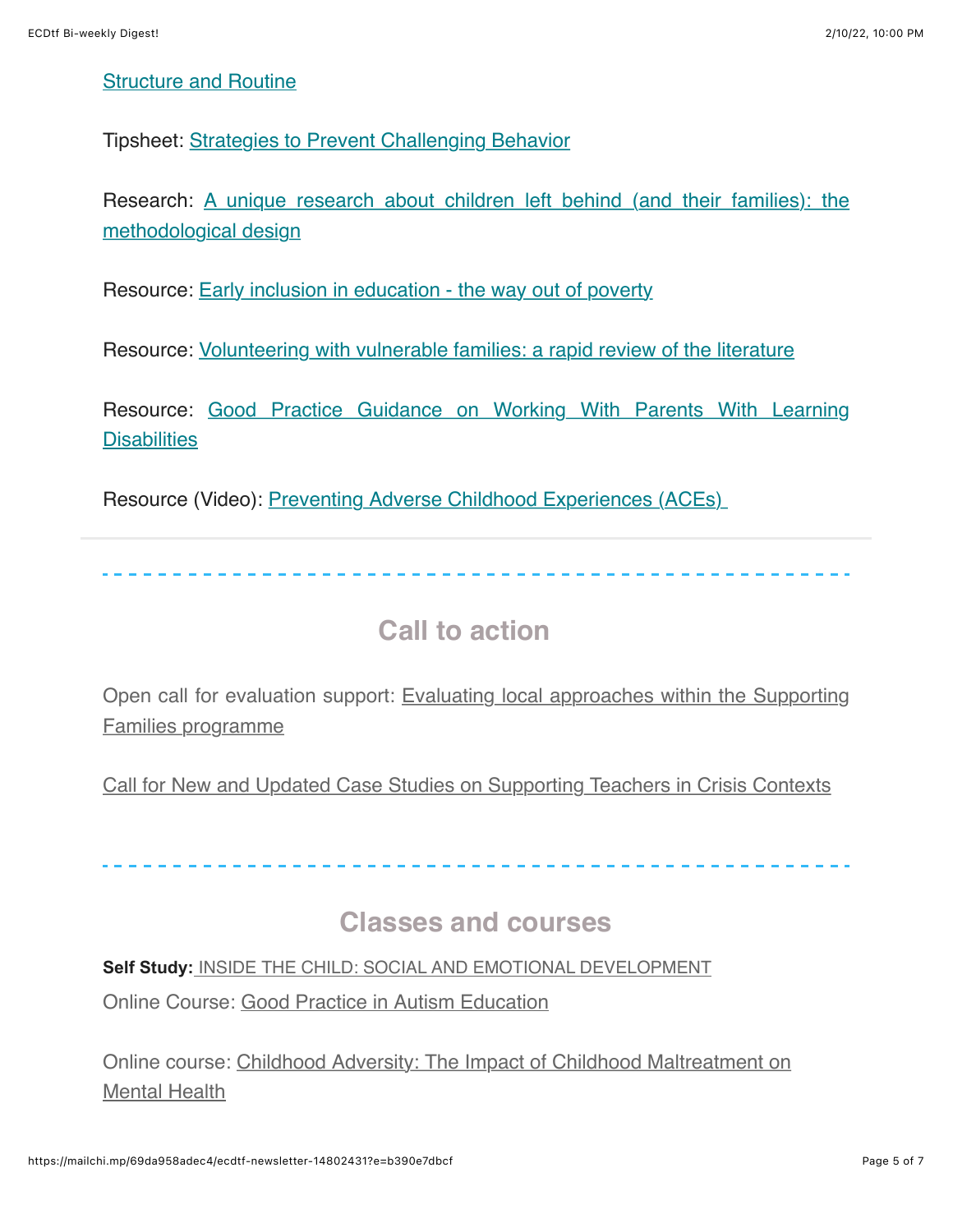#### [Structure and Routine](https://illinoisearlylearning.org/blogs/disabilities/structure-routine/)

Tipsheet: [Strategies to Prevent Challenging Behavior](https://www.inclusivechildcare.org/sites/default/files/courses/swf/Strategies%20to%20Prevent%20Challenging%20Behavior.pdf)

[Research: A unique research about children left behind \(and their families\): the](https://childhub.org/en/child-protection-news/unique-research-about-children-left-behind-and-their-families-methodological-design) methodological design

Resource: [Early inclusion in education - the way out of poverty](https://childhub.org/en/child-protection-news/early-inclusion-education-way-out-poverty)

Resource: [Volunteering with vulnerable families: a rapid review of the literature](https://learning.nspcc.org.uk/research-resources/2021/volunteering-with-vulnerable-families)

[Resource: Good Practice Guidance on Working With Parents With Learning](https://www.anncrafttrust.org/wp-content/uploads/2021/08/FINAL-2021-WTPN-UPDATE-OF-THE-GPG.pdf) **Disabilities** 

Resource (Video): Preventing Adverse Childhood Experiences (ACEs)

### **Call to action**

[Open call for evaluation support: Evaluating local approaches within the Supporting](https://www.eif.org.uk/about/get-involved#evaluating-local-approaches-within-the-supporting-families-programme) Families programme

[Call for New and Updated Case Studies on Supporting Teachers in Crisis Contexts](https://inee.org/blog/call-new-and-updated-case-studies-supporting-teachers-crisis-contexts-ticc-event-series-2021?utm_source=INEE+email+lists&utm_campaign=b18cc42fe0-EMAIL_CAMPAIGN_2019_10_08_10_35_COPY_01&utm_medium=email&utm_term=0_710662b6ab-b18cc42fe0-25783713)

### **Classes and courses**

**Self Study:** [INSIDE THE CHILD: SOCIAL AND EMOTIONAL DEVELOPMENT](https://www.inclusivechildcare.org/resource-library/course/inside-child-social-and-emotional-development-0)

Online Course: [Good Practice in Autism Education](https://www.futurelearn.com/courses/autism-education?utm_source=rakutenmarketing&utm_medium=affiliate&utm_campaign=fl_3776465:Child+Protection+Hub&utm_content=10:1&utm_term=USNetwork&ranMID=44015&ranEAID=xgvelqnZmZM&ranSiteID=xgvelqnZmZM-YxaClDuQvle9UmcOZs87Aw)

[Online course: Childhood Adversity: The Impact of Childhood Maltreatment on](https://www.futurelearn.com/courses/childhood-adversity-and-mental-health?utm_source=rakutenmarketing&utm_medium=affiliate&utm_campaign=fl_3776465:Child+Protection+Hub&utm_content=10:1&utm_term=UKNetwork&ranMID=42801&ranEAID=xgvelqnZmZM&ranSiteID=xgvelqnZmZM-1BfhIkze0FN9x_g4sApVnA) Mental Health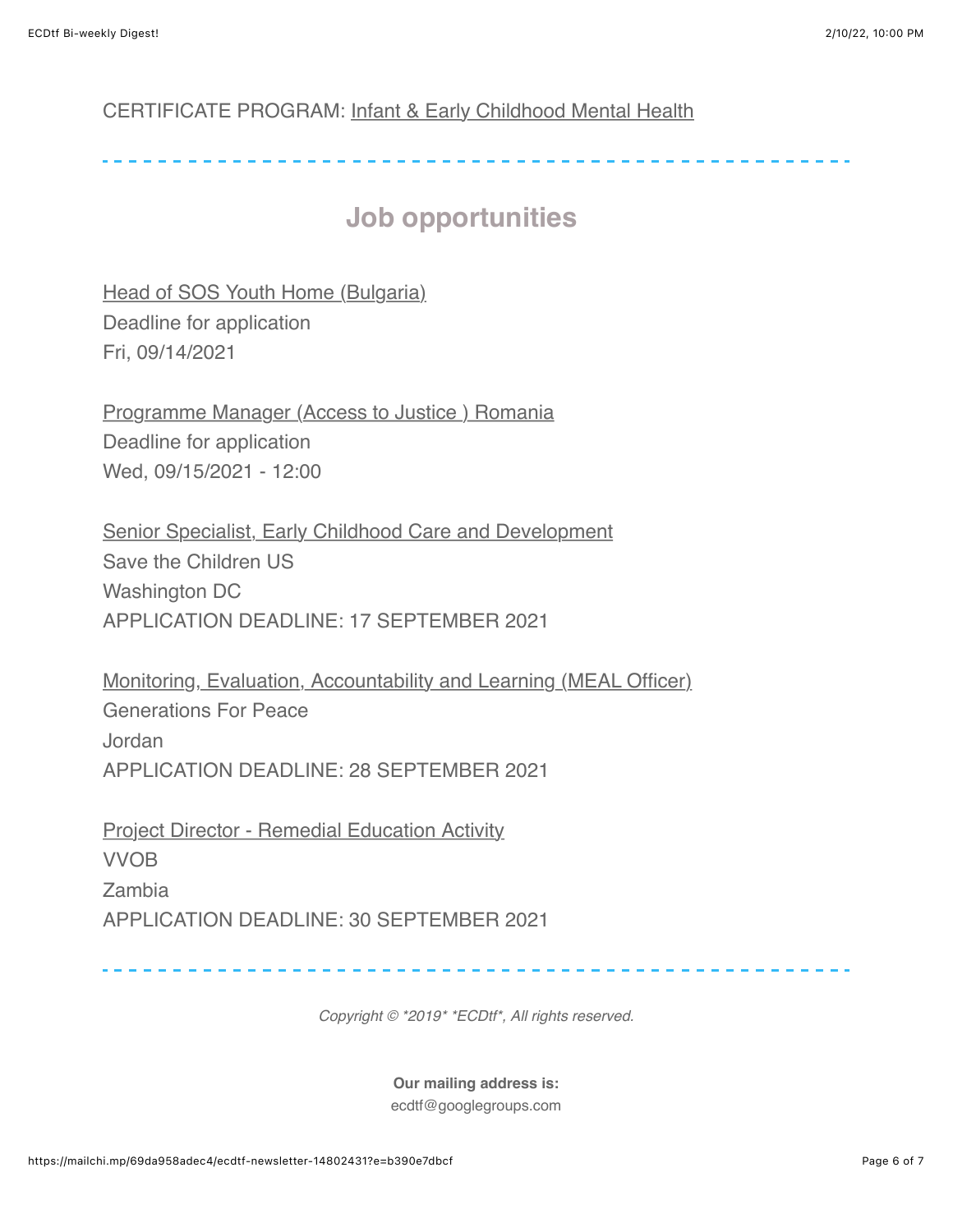#### CERTIFICATE PROGRAM: [Infant & Early Childhood Mental Health](https://scs.georgetown.edu/programs/517/clinical-certificate-in-infant-mental-health/)

# **Job opportunities**

[Head of SOS Youth Home \(Bulgaria\)](https://childhub.org/en/child-protection-vacancies-jobs-positions/head-sos-youth-home-bulgaria) Deadline for application Fri, 09/14/2021

[Programme Manager \(Access to Justice \) Romania](https://childhub.org/en/child-protection-vacancies-jobs-positions/programme-manager-access-justice-romania) Deadline for application Wed, 09/15/2021 - 12:00

[Senior Specialist, Early Childhood Care and Development](https://inee.org/jobs/senior-specialist-early-childhood-care-and-development) Save the Children US Washington DC APPLICATION DEADLINE: 17 SEPTEMBER 2021

[Monitoring, Evaluation, Accountability and Learning \(MEAL Officer\)](https://inee.org/jobs/monitoring-evaluation-accountability-and-learning-meal-officer) Generations For Peace Jordan APPLICATION DEADLINE: 28 SEPTEMBER 2021

**[Project Director - Remedial Education Activity](https://inee.org/jobs/project-director-remedial-education-activity)** VVOB Zambia APPLICATION DEADLINE: 30 SEPTEMBER 2021

*Copyright © \*2019\* \*ECDtf\*, All rights reserved.*

**Our mailing address is:** ecdtf@googlegroups.com